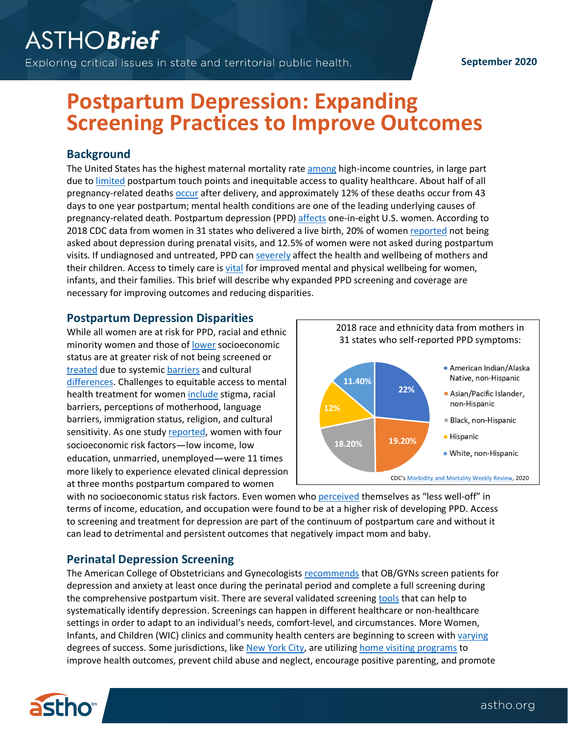#### **September 2020**

# **Postpartum Depression: Expanding Screening Practices to Improve Outcomes**

### **Background**

The United States has the highest maternal mortality rat[e among](https://stats.oecd.org/index.aspx?queryid=30116) high-income countries, in large part due to [limited](https://www.ncqa.org/hedis/measures/prenatal-and-postpartum-care-ppc/) postpartum touch points and inequitable access to quality healthcare. About half of all pregnancy-related death[s occur](https://www.cdc.gov/mmwr/volumes/68/wr/mm6818e1.htm?s_cid=mm6818e1_w) after delivery, and approximately 12% of these deaths occur from 43 days to one year postpartum; mental health conditions are one of the leading underlying causes of pregnancy-related death. Postpartum depression (PPD) [affects](https://www.cdc.gov/reproductivehealth/vital-signs/identifying-maternal-depression/VS-May-2020-Maternal-Depression_h.pdf) one-in-eight U.S. women. According to 2018 CDC data from women in 31 states who delivered a live birth, 20% of women [reported](https://www.cdc.gov/mmwr/volumes/69/wr/mm6919a2.htm?s_cid=mm6919a2_w) not being asked about depression during prenatal visits, and 12.5% of women were not asked during postpartum visits. If undiagnosed and untreated, PPD can [severely](https://journals.sagepub.com/doi/full/10.1177/1745506519844044) affect the health and wellbeing of mothers and their children. Access to timely care is [vital](https://www.nichq.org/insight/moms-deserve-better-care-fourth-trimester) for improved mental and physical wellbeing for women, infants, and their families. This brief will describe why expanded PPD screening and coverage are necessary for improving outcomes and reducing disparities.

## **Postpartum Depression Disparities**

While all women are at risk for PPD, racial and ethnic minority women and those of [lower](https://www.urban.org/sites/default/files/publication/23546/412804-Depression-in-Low-Income-Mothers-of-Young-Children-Are-They-Getting-the-Treatment-They-Need-.PDF) socioeconomic status are at greater risk of not being screened or [treated](https://khn.org/news/black-mothers-get-less-treatment-for-postpartum-depression-than-other-moms/) due to systemic [barriers](https://www.americanprogress.org/issues/women/reports/2018/05/10/450577/health-care-system-racial-disparities-maternal-mortality/) and cultural [differences.](https://www.npwomenshealthcare.com/a-disease-you-just-caught-low-income-african-american-mothers-cultural-beliefs-about-postpartum-depression-vol2-no4/) Challenges to equitable access to mental health treatment for women [include](https://publichealthreviews.biomedcentral.com/articles/10.1186/s40985-017-0050-y) stigma, racial barriers, perceptions of motherhood, language barriers, immigration status, religion, and cultural sensitivity. As one stud[y reported,](https://www.ncbi.nlm.nih.gov/pmc/articles/PMC2835803/) women with four socioeconomic risk factors—low income, low education, unmarried, unemployed—were 11 times more likely to experience elevated clinical depression at three months postpartum compared to women



with no socioeconomic status risk factors. Even women who [perceived](https://www.ncbi.nlm.nih.gov/pmc/articles/PMC3584227/) themselves as "less well-off" in terms of income, education, and occupation were found to be at a higher risk of developing PPD. Access to screening and treatment for depression are part of the continuum of postpartum care and without it can lead to detrimental and persistent outcomes that negatively impact mom and baby.

# **Perinatal Depression Screening**

The American College of Obstetricians and Gynecologists [recommends](https://www.acog.org/clinical/clinical-guidance/committee-opinion/articles/2018/11/screening-for-perinatal-depression) that OB/GYNs screen patients for depression and anxiety at least once during the perinatal period and complete a full screening during the comprehensive postpartum visit. There are several validated screening [tools](https://www.acog.org/clinical/clinical-guidance/committee-opinion/articles/2018/11/screening-for-perinatal-depression) that can help to systematically identify depression. Screenings can happen in different healthcare or non-healthcare settings in order to adapt to an individual's needs, comfort-level, and circumstances. More Women, Infants, and Children (WIC) clinics and community health centers are beginning to screen wit[h varying](https://www.ncbi.nlm.nih.gov/pubmed/31790646) degrees of success. Some jurisdictions, lik[e New York City,](https://www1.nyc.gov/office-of-the-mayor/news/062-20/first-lady-chirlane-mccray-largest-citywide-home-visiting-services-program-all#/0) are utilizing [home visiting programs](https://mchb.hrsa.gov/maternal-child-health-initiatives/home-visiting-overview) to improve health outcomes, prevent child abuse and neglect, encourage positive parenting, and promote